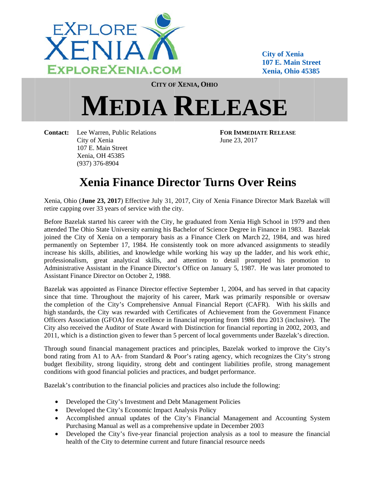

**City of Xenia 107 E. Main Street** Xenia. Ohio 45385

**CITY OF XENIA, OHIO** 

## **MEDIA RELEASE**

**Contact:** Lee Warren, Public Relations City of Xenia 107 E. Main Street Xenia, OH 45385  $(937)$  376-8904

**FOR IMMEDIATE RELEASE** June 23, 2017

## **Xenia Finance Director Turns Over Reins**

Xenia, Ohio (June 23, 2017) Effective July 31, 2017, City of Xenia Finance Director Mark Bazelak will retire capping over 33 years of service with the city.

Before Bazelak started his career with the City, he graduated from Xenia High School in 1979 and then attended The Ohio State University earning his Bachelor of Science Degree in Finance in 1983. Bazelak joined the City of Xenia on a temporary basis as a Finance Clerk on March 22, 1984, and was hired permanently on September 17, 1984. He consistently took on more advanced assignments to steadily increase his skills, abilities, and knowledge while working his way up the ladder, and his work ethic, professionalism, great analytical skills, and attention to detail prompted his promotion to Administrative Assistant in the Finance Director's Office on January 5, 1987. He was later promoted to Assistant Finance Director on October 2, 1988.

Bazelak was appointed as Finance Director effective September 1, 2004, and has served in that capacity since that time. Throughout the majority of his career, Mark was primarily responsible or oversaw the completion of the City's Comprehensive Annual Financial Report (CAFR). With his skills and high standards, the City was rewarded with Certificates of Achievement from the Government Finance Officers Association (GFOA) for excellence in financial reporting from 1986 thru 2013 (inclusive). The City also received the Auditor of State Award with Distinction for financial reporting in 2002, 2003, and 2011, which is a distinction given to fewer than 5 percent of local governments under Bazelak's direction.

Through sound financial management practices and principles, Bazelak worked to improve the City's bond rating from A1 to AA- from Standard & Poor's rating agency, which recognizes the City's strong budget flexibility, strong liquidity, strong debt and contingent liabilities profile, strong management conditions with good financial policies and practices, and budget performance.

Bazelak's contribution to the financial policies and practices also include the following:

- Developed the City's Investment and Debt Management Policies
- Developed the City's Economic Impact Analysis Policy
- Accomplished annual updates of the City's Financial Management and Accounting System Purchasing Manual as well as a comprehensive update in December 2003
- Developed the City's five-year financial projection analysis as a tool to measure the financial health of the City to determine current and future financial resource needs